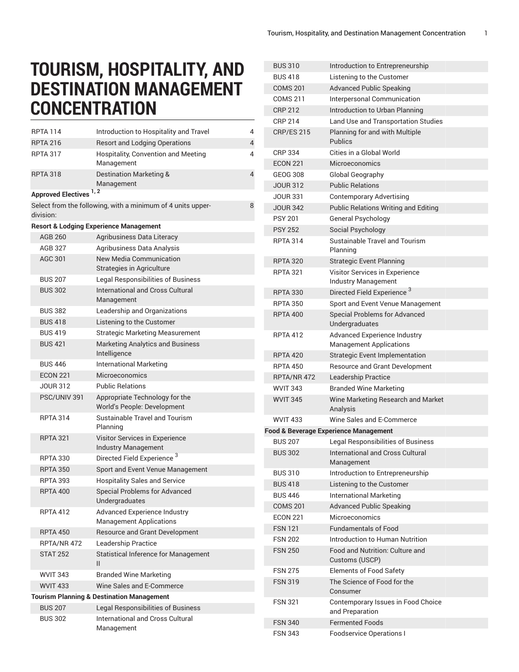## **TOURISM, HOSPITALITY, AND DESTINATION MANAGEMENT CONCENTRATION**

| <b>RPTA 114</b>                                      | Introduction to Hospitality and Travel                                | 4 |  |  |  |
|------------------------------------------------------|-----------------------------------------------------------------------|---|--|--|--|
| <b>RPTA 216</b>                                      | <b>Resort and Lodging Operations</b>                                  | 4 |  |  |  |
| <b>RPTA 317</b>                                      | Hospitality, Convention and Meeting<br>Management                     | 4 |  |  |  |
| <b>RPTA 318</b>                                      | Destination Marketing &<br>Management                                 | 4 |  |  |  |
| Approved Electives <sup>1,2</sup>                    |                                                                       |   |  |  |  |
| division:                                            | Select from the following, with a minimum of 4 units upper-           | 8 |  |  |  |
|                                                      | <b>Resort &amp; Lodging Experience Management</b>                     |   |  |  |  |
| AGB 260                                              | Agribusiness Data Literacy                                            |   |  |  |  |
| <b>AGB 327</b>                                       | Agribusiness Data Analysis                                            |   |  |  |  |
| AGC 301                                              | New Media Communication<br>Strategies in Agriculture                  |   |  |  |  |
| <b>BUS 207</b>                                       | <b>Legal Responsibilities of Business</b>                             |   |  |  |  |
| <b>BUS 302</b>                                       | <b>International and Cross Cultural</b><br>Management                 |   |  |  |  |
| <b>BUS 382</b>                                       | Leadership and Organizations                                          |   |  |  |  |
| <b>BUS 418</b>                                       | Listening to the Customer                                             |   |  |  |  |
| <b>BUS419</b>                                        | <b>Strategic Marketing Measurement</b>                                |   |  |  |  |
| <b>BUS 421</b>                                       | <b>Marketing Analytics and Business</b><br>Intelligence               |   |  |  |  |
| <b>BUS 446</b>                                       | <b>International Marketing</b>                                        |   |  |  |  |
| <b>ECON 221</b>                                      | Microeconomics                                                        |   |  |  |  |
| <b>JOUR 312</b>                                      | <b>Public Relations</b>                                               |   |  |  |  |
| PSC/UNIV 391                                         | Appropriate Technology for the<br>World's People: Development         |   |  |  |  |
| <b>RPTA 314</b>                                      | Sustainable Travel and Tourism<br>Planning                            |   |  |  |  |
| <b>RPTA 321</b>                                      | Visitor Services in Experience<br>Industry Management                 |   |  |  |  |
| <b>RPTA 330</b>                                      | Directed Field Experience <sup>3</sup>                                |   |  |  |  |
| <b>RPTA 350</b>                                      | Sport and Event Venue Management                                      |   |  |  |  |
| <b>RPTA 393</b>                                      | <b>Hospitality Sales and Service</b>                                  |   |  |  |  |
| <b>RPTA 400</b>                                      | <b>Special Problems for Advanced</b><br>Undergraduates                |   |  |  |  |
| <b>RPTA 412</b>                                      | <b>Advanced Experience Industry</b><br><b>Management Applications</b> |   |  |  |  |
| <b>RPTA 450</b>                                      | <b>Resource and Grant Development</b>                                 |   |  |  |  |
| RPTA/NR 472                                          | Leadership Practice                                                   |   |  |  |  |
| <b>STAT 252</b>                                      | <b>Statistical Inference for Management</b><br>$\mathbf{H}$           |   |  |  |  |
| <b>WVIT 343</b>                                      | <b>Branded Wine Marketing</b>                                         |   |  |  |  |
| <b>WVIT 433</b>                                      | Wine Sales and E-Commerce                                             |   |  |  |  |
| <b>Tourism Planning &amp; Destination Management</b> |                                                                       |   |  |  |  |
| <b>BUS 207</b>                                       | Legal Responsibilities of Business                                    |   |  |  |  |
| <b>BUS 302</b>                                       | International and Cross Cultural<br>Management                        |   |  |  |  |

| <b>BUS 310</b>    | Introduction to Entrepreneurship                                      |
|-------------------|-----------------------------------------------------------------------|
| <b>BUS 418</b>    | Listening to the Customer                                             |
| <b>COMS 201</b>   | <b>Advanced Public Speaking</b>                                       |
| <b>COMS 211</b>   | Interpersonal Communication                                           |
| <b>CRP 212</b>    | Introduction to Urban Planning                                        |
| <b>CRP 214</b>    | Land Use and Transportation Studies                                   |
| <b>CRP/ES 215</b> | Planning for and with Multiple<br><b>Publics</b>                      |
| <b>CRP 334</b>    | Cities in a Global World                                              |
| <b>ECON 221</b>   | Microeconomics                                                        |
| <b>GEOG 308</b>   | Global Geography                                                      |
| <b>JOUR 312</b>   | <b>Public Relations</b>                                               |
| <b>JOUR 331</b>   | <b>Contemporary Advertising</b>                                       |
| <b>JOUR 342</b>   | <b>Public Relations Writing and Editing</b>                           |
| <b>PSY 201</b>    | General Psychology                                                    |
| <b>PSY 252</b>    | Social Psychology                                                     |
| <b>RPTA 314</b>   | <b>Sustainable Travel and Tourism</b><br>Planning                     |
| <b>RPTA 320</b>   | <b>Strategic Event Planning</b>                                       |
| <b>RPTA 321</b>   | Visitor Services in Experience<br><b>Industry Management</b>          |
| <b>RPTA 330</b>   | Directed Field Experience <sup>3</sup>                                |
| <b>RPTA 350</b>   | Sport and Event Venue Management                                      |
| <b>RPTA 400</b>   | <b>Special Problems for Advanced</b><br>Undergraduates                |
| <b>RPTA 412</b>   | <b>Advanced Experience Industry</b><br><b>Management Applications</b> |
| <b>RPTA 420</b>   | <b>Strategic Event Implementation</b>                                 |
| <b>RPTA 450</b>   | <b>Resource and Grant Development</b>                                 |
| RPTA/NR 472       | Leadership Practice                                                   |
| <b>WVIT 343</b>   | <b>Branded Wine Marketing</b>                                         |
| <b>WVIT 345</b>   | Wine Marketing Research and Market<br>Analysis                        |
| <b>WVIT 433</b>   | Wine Sales and E-Commerce                                             |
|                   | <b>Food &amp; Beverage Experience Management</b>                      |
| <b>BUS 207</b>    | Legal Responsibilities of Business                                    |
| <b>BUS 302</b>    | <b>International and Cross Cultural</b><br>Management                 |
| <b>BUS 310</b>    | Introduction to Entrepreneurship                                      |
| <b>BUS 418</b>    | Listening to the Customer                                             |
| <b>BUS 446</b>    | <b>International Marketing</b>                                        |
| <b>COMS 201</b>   | <b>Advanced Public Speaking</b>                                       |
| <b>ECON 221</b>   | Microeconomics                                                        |
| <b>FSN 121</b>    | <b>Fundamentals of Food</b>                                           |
| <b>FSN 202</b>    | Introduction to Human Nutrition                                       |
| <b>FSN 250</b>    | Food and Nutrition: Culture and<br>Customs (USCP)                     |
| <b>FSN 275</b>    | <b>Elements of Food Safety</b>                                        |
| <b>FSN 319</b>    | The Science of Food for the<br>Consumer                               |
| <b>FSN 321</b>    | Contemporary Issues in Food Choice<br>and Preparation                 |
| <b>FSN 340</b>    | <b>Fermented Foods</b>                                                |
| <b>FSN 343</b>    | <b>Foodservice Operations I</b>                                       |